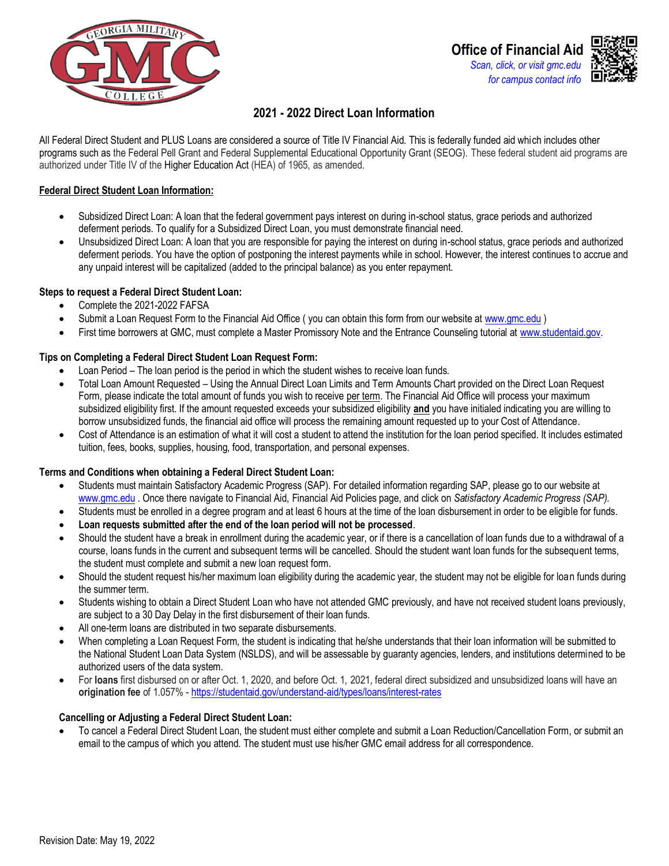



# **2021 - 2022 Direct Loan Information**

All Federal Direct Student and PLUS Loans are considered a source of Title IV Financial Aid. This is federally funded aid which includes other programs such as the Federal Pell Grant and Federal Supplemental Educational Opportunity Grant (SEOG). These federal student aid programs are authorized under Title IV of the Higher Education Act (HEA) of 1965, as amended.

### **Federal Direct Student Loan Information:**

- Subsidized Direct Loan: A loan that the federal government pays interest on during in-school status, grace periods and authorized deferment periods. To qualify for a Subsidized Direct Loan, you must demonstrate financial need.
- Unsubsidized Direct Loan: A loan that you are responsible for paying the interest on during in-school status, grace periods and authorized deferment periods. You have the option of postponing the interest payments while in school. However, the interest continues to accrue and any unpaid interest will be capitalized (added to the principal balance) as you enter repayment.

### **Steps to request a Federal Direct Student Loan:**

- Complete the 2021-2022 FAFSA
- Submit a Loan Request Form to the Financial Aid Office (you can obtain this form from our website at www.gmc.edu)
- First time borrowers at GMC, must complete a Master Promissory Note and the Entrance Counseling tutorial at www.studentaid.gov.

### **Tips on Completing a Federal Direct Student Loan Request Form:**

- Loan Period The loan period is the period in which the student wishes to receive loan funds.
- Total Loan Amount Requested Using the Annual Direct Loan Limits and Term Amounts Chart provided on the Direct Loan Request Form, please indicate the total amount of funds you wish to receive per term. The Financial Aid Office will process your maximum subsidized eligibility first. If the amount requested exceeds your subsidized eligibility **and** you have initialed indicating you are willing to borrow unsubsidized funds, the financial aid office will process the remaining amount requested up to your Cost of Attendance*.*
- Cost of Attendance is an estimation of what it will cost a student to attend the institution for the loan period specified. It includes estimated tuition, fees, books, supplies, housing, food, transportation, and personal expenses.

#### **Terms and Conditions when obtaining a Federal Direct Student Loan:**

- Students must maintain Satisfactory Academic Progress (SAP). For detailed information regarding SAP, please go to our website at [www.gmc.edu](http://www.gmc.edu/) . Once there navigate to Financial Aid, Financial Aid Policies page, and click on *Satisfactory Academic Progress (SAP).*
- Students must be enrolled in a degree program and at least 6 hours at the time of the loan disbursement in order to be eligible for funds.
- **Loan requests submitted after the end of the loan period will not be processed**.
- Should the student have a break in enrollment during the academic year, or if there is a cancellation of loan funds due to a withdrawal of a course, loans funds in the current and subsequent terms will be cancelled. Should the student want loan funds for the subsequent terms, the student must complete and submit a new loan request form.
- Should the student request his/her maximum loan eligibility during the academic year, the student may not be eligible for loan funds during the summer term.
- Students wishing to obtain a Direct Student Loan who have not attended GMC previously, and have not received student loans previously, are subject to a 30 Day Delay in the first disbursement of their loan funds.
- All one-term loans are distributed in two separate disbursements.
- When completing a Loan Request Form, the student is indicating that he/she understands that their loan information will be submitted to the National Student Loan Data System (NSLDS), and will be assessable by guaranty agencies, lenders, and institutions determined to be authorized users of the data system.
- For **loans** first disbursed on or after Oct. 1, 2020, and before Oct. 1, 2021, federal direct subsidized and unsubsidized loans will have an **origination fee** of 1.057% -<https://studentaid.gov/understand-aid/types/loans/interest-rates>

#### **Cancelling or Adjusting a Federal Direct Student Loan:**

• To cancel a Federal Direct Student Loan, the student must either complete and submit a Loan Reduction/Cancellation Form, or submit an email to the campus of which you attend. The student must use his/her GMC email address for all correspondence.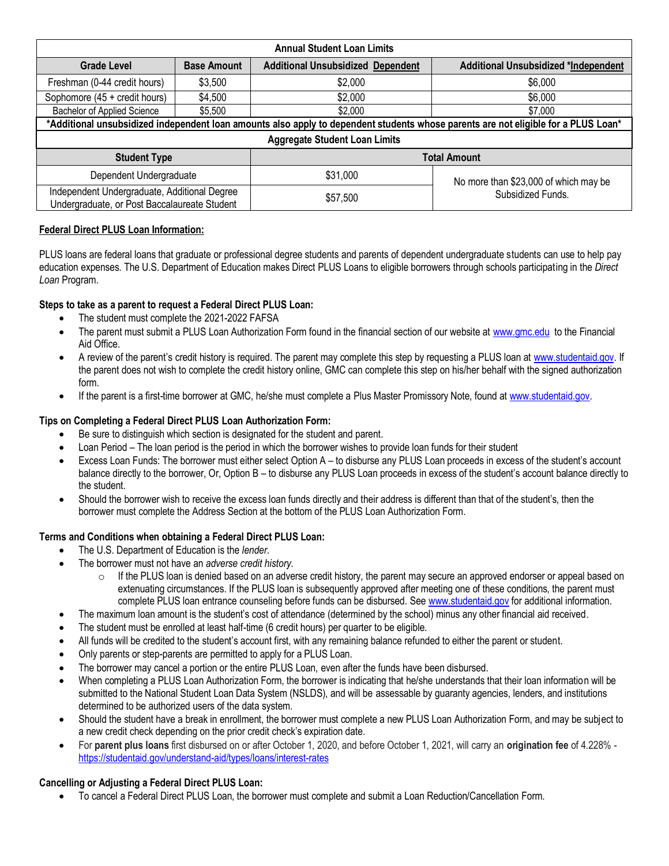|                                                                                              |                               | <b>Annual Student Loan Limits</b>        |                                                                                                                                    |
|----------------------------------------------------------------------------------------------|-------------------------------|------------------------------------------|------------------------------------------------------------------------------------------------------------------------------------|
| <b>Grade Level</b>                                                                           | <b>Base Amount</b>            | <b>Additional Unsubsidized Dependent</b> | <b>Additional Unsubsidized *Independent</b>                                                                                        |
| Freshman (0-44 credit hours)                                                                 | \$3,500                       | \$2,000                                  | \$6,000                                                                                                                            |
| Sophomore (45 + credit hours)                                                                | \$4,500<br>\$2,000<br>\$6,000 |                                          |                                                                                                                                    |
| Bachelor of Applied Science                                                                  | \$5,500                       | \$2,000<br>\$7,000                       |                                                                                                                                    |
|                                                                                              |                               |                                          | *Additional unsubsidized independent loan amounts also apply to dependent students whose parents are not eligible for a PLUS Loan* |
|                                                                                              |                               | <b>Aggregate Student Loan Limits</b>     |                                                                                                                                    |
| <b>Student Type</b>                                                                          |                               | <b>Total Amount</b>                      |                                                                                                                                    |
| Dependent Undergraduate                                                                      |                               | \$31,000                                 | No more than \$23,000 of which may be                                                                                              |
| Independent Undergraduate, Additional Degree<br>Undergraduate, or Post Baccalaureate Student |                               | \$57,500                                 | Subsidized Funds.                                                                                                                  |

### **Federal Direct PLUS Loan Information:**

PLUS loans are federal loans that graduate or professional degree students and parents of dependent undergraduate students can use to help pay education expenses. The U.S. Department of Education makes Direct PLUS Loans to eligible borrowers through schools participating in the *Direct Loan* Program.

### **Steps to take as a parent to request a Federal Direct PLUS Loan:**

- The student must complete the 2021-2022 FAFSA
- The parent must submit a PLUS Loan Authorization Form found in the financial section of our website at [www.gmc.edu](http://www.gmc.edu/) to the Financial Aid Office.
- A review of the parent's credit history is required. The parent may complete this step by requesting a PLUS loan a[t www.studentaid.gov.](http://www.studentaid.gov/) If the parent does not wish to complete the credit history online, GMC can complete this step on his/her behalf with the signed authorization form.
- If the parent is a first-time borrower at GMC, he/she must complete a Plus Master Promissory Note, found a[t www.studentaid.gov.](http://www.studentaid.gov/)

### **Tips on Completing a Federal Direct PLUS Loan Authorization Form:**

- Be sure to distinguish which section is designated for the student and parent.
- Loan Period The loan period is the period in which the borrower wishes to provide loan funds for their student
- Excess Loan Funds: The borrower must either select Option A to disburse any PLUS Loan proceeds in excess of the student's account balance directly to the borrower, Or, Option B – to disburse any PLUS Loan proceeds in excess of the student's account balance directly to the student.
- Should the borrower wish to receive the excess loan funds directly and their address is different than that of the student's, then the borrower must complete the Address Section at the bottom of the PLUS Loan Authorization Form.

#### **Terms and Conditions when obtaining a Federal Direct PLUS Loan:**

- The U.S. Department of Education is the *lender*.
- The borrower must not have an *adverse credit history*.
	- $\circ$  If the PLUS loan is denied based on an adverse credit history, the parent may secure an approved endorser or appeal based on extenuating circumstances. If the PLUS loan is subsequently approved after meeting one of these conditions, the parent must complete PLUS loan entrance counseling before funds can be disbursed. Se[e www.studentaid.gov](http://www.studentaid.gov/) for additional information.
- The maximum loan amount is the student's cost of attendance (determined by the school) minus any other financial aid received.
- The student must be enrolled at least half-time (6 credit hours) per quarter to be eligible.
- All funds will be credited to the student's account first, with any remaining balance refunded to either the parent or student.
- Only parents or step-parents are permitted to apply for a PLUS Loan.
- The borrower may cancel a portion or the entire PLUS Loan, even after the funds have been disbursed.
- When completing a PLUS Loan Authorization Form, the borrower is indicating that he/she understands that their loan information will be submitted to the National Student Loan Data System (NSLDS), and will be assessable by guaranty agencies, lenders, and institutions determined to be authorized users of the data system.
- Should the student have a break in enrollment, the borrower must complete a new PLUS Loan Authorization Form, and may be subject to a new credit check depending on the prior credit check's expiration date.
- For **parent plus loans** first disbursed on or after October 1, 2020, and before October 1, 2021, will carry an **origination fee** of 4.228% <https://studentaid.gov/understand-aid/types/loans/interest-rates>

### **Cancelling or Adjusting a Federal Direct PLUS Loan:**

• To cancel a Federal Direct PLUS Loan, the borrower must complete and submit a Loan Reduction/Cancellation Form.